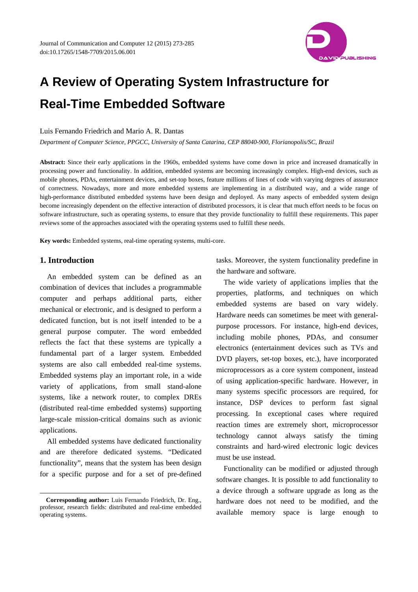

# **A Review of Operating System Infrastructure for Real-Time Embedded Software**

#### Luis Fernando Friedrich and Mario A. R. Dantas

*Department of Computer Science, PPGCC, University of Santa Catarina, CEP 88040-900, Florianopolis/SC, Brazil* 

**Abstract:** Since their early applications in the 1960s, embedded systems have come down in price and increased dramatically in processing power and functionality. In addition, embedded systems are becoming increasingly complex. High-end devices, such as mobile phones, PDAs, entertainment devices, and set-top boxes, feature millions of lines of code with varying degrees of assurance of correctness. Nowadays, more and more embedded systems are implementing in a distributed way, and a wide range of high-performance distributed embedded systems have been design and deployed. As many aspects of embedded system design become increasingly dependent on the effective interaction of distributed processors, it is clear that much effort needs to be focus on software infrastructure, such as operating systems, to ensure that they provide functionality to fulfill these requirements. This paper reviews some of the approaches associated with the operating systems used to fulfill these needs.

**Key words:** Embedded systems, real-time operating systems, multi-core.

## **1. Introduction**

 $\overline{a}$ 

An embedded system can be defined as an combination of devices that includes a programmable computer and perhaps additional parts, either mechanical or electronic, and is designed to perform a dedicated function, but is not itself intended to be a general purpose computer. The word embedded reflects the fact that these systems are typically a fundamental part of a larger system. Embedded systems are also call embedded real-time systems. Embedded systems play an important role, in a wide variety of applications, from small stand-alone systems, like a network router, to complex DREs (distributed real-time embedded systems) supporting large-scale mission-critical domains such as avionic applications.

All embedded systems have dedicated functionality and are therefore dedicated systems. "Dedicated functionality", means that the system has been design for a specific purpose and for a set of pre-defined

tasks. Moreover, the system functionality predefine in the hardware and software.

The wide variety of applications implies that the properties, platforms, and techniques on which embedded systems are based on vary widely. Hardware needs can sometimes be meet with generalpurpose processors. For instance, high-end devices, including mobile phones, PDAs, and consumer electronics (entertainment devices such as TVs and DVD players, set-top boxes, etc.), have incorporated microprocessors as a core system component, instead of using application-specific hardware. However, in many systems specific processors are required, for instance, DSP devices to perform fast signal processing. In exceptional cases where required reaction times are extremely short, microprocessor technology cannot always satisfy the timing constraints and hard-wired electronic logic devices must be use instead.

Functionality can be modified or adjusted through software changes. It is possible to add functionality to a device through a software upgrade as long as the hardware does not need to be modified, and the available memory space is large enough to

**Corresponding author:** Luis Fernando Friedrich, Dr. Eng., professor, research fields: distributed and real-time embedded operating systems.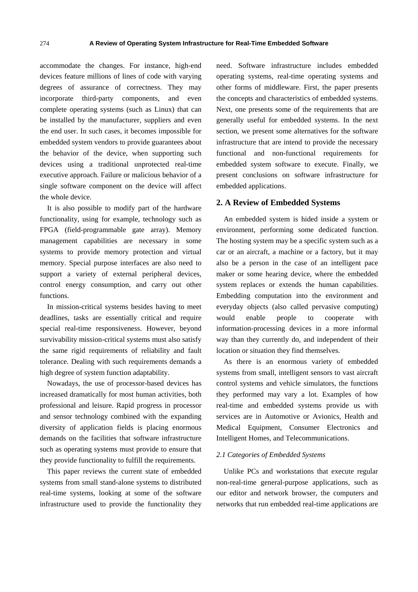accommodate the changes. For instance, high-end devices feature millions of lines of code with varying degrees of assurance of correctness. They may incorporate third-party components, and even complete operating systems (such as Linux) that can be installed by the manufacturer, suppliers and even the end user. In such cases, it becomes impossible for embedded system vendors to provide guarantees about the behavior of the device, when supporting such devices using a traditional unprotected real-time executive approach. Failure or malicious behavior of a single software component on the device will affect the whole device.

It is also possible to modify part of the hardware functionality, using for example, technology such as FPGA (field-programmable gate array). Memory management capabilities are necessary in some systems to provide memory protection and virtual memory. Special purpose interfaces are also need to support a variety of external peripheral devices, control energy consumption, and carry out other functions.

In mission-critical systems besides having to meet deadlines, tasks are essentially critical and require special real-time responsiveness. However, beyond survivability mission-critical systems must also satisfy the same rigid requirements of reliability and fault tolerance. Dealing with such requirements demands a high degree of system function adaptability.

Nowadays, the use of processor-based devices has increased dramatically for most human activities, both professional and leisure. Rapid progress in processor and sensor technology combined with the expanding diversity of application fields is placing enormous demands on the facilities that software infrastructure such as operating systems must provide to ensure that they provide functionality to fulfill the requirements.

This paper reviews the current state of embedded systems from small stand-alone systems to distributed real-time systems, looking at some of the software infrastructure used to provide the functionality they need. Software infrastructure includes embedded operating systems, real-time operating systems and other forms of middleware. First, the paper presents the concepts and characteristics of embedded systems. Next, one presents some of the requirements that are generally useful for embedded systems. In the next section, we present some alternatives for the software infrastructure that are intend to provide the necessary functional and non-functional requirements for embedded system software to execute. Finally, we present conclusions on software infrastructure for embedded applications.

#### **2. A Review of Embedded Systems**

An embedded system is hided inside a system or environment, performing some dedicated function. The hosting system may be a specific system such as a car or an aircraft, a machine or a factory, but it may also be a person in the case of an intelligent pace maker or some hearing device, where the embedded system replaces or extends the human capabilities. Embedding computation into the environment and everyday objects (also called pervasive computing) would enable people to cooperate with information-processing devices in a more informal way than they currently do, and independent of their location or situation they find themselves.

As there is an enormous variety of embedded systems from small, intelligent sensors to vast aircraft control systems and vehicle simulators, the functions they performed may vary a lot. Examples of how real-time and embedded systems provide us with services are in Automotive or Avionics, Health and Medical Equipment, Consumer Electronics and Intelligent Homes, and Telecommunications.

#### *2.1 Categories of Embedded Systems*

Unlike PCs and workstations that execute regular non-real-time general-purpose applications, such as our editor and network browser, the computers and networks that run embedded real-time applications are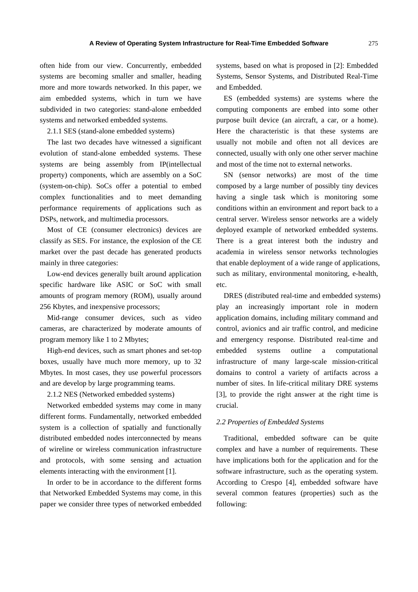often hide from our view. Concurrently, embedded systems are becoming smaller and smaller, heading more and more towards networked. In this paper, we aim embedded systems, which in turn we have subdivided in two categories: stand-alone embedded systems and networked embedded systems.

2.1.1 SES (stand-alone embedded systems)

The last two decades have witnessed a significant evolution of stand-alone embedded systems. These systems are being assembly from IP(intellectual property) components, which are assembly on a SoC (system-on-chip). SoCs offer a potential to embed complex functionalities and to meet demanding performance requirements of applications such as DSPs, network, and multimedia processors.

Most of CE (consumer electronics) devices are classify as SES. For instance, the explosion of the CE market over the past decade has generated products mainly in three categories:

Low-end devices generally built around application specific hardware like ASIC or SoC with small amounts of program memory (ROM), usually around 256 Kbytes, and inexpensive processors;

Mid-range consumer devices, such as video cameras, are characterized by moderate amounts of program memory like 1 to 2 Mbytes;

High-end devices, such as smart phones and set-top boxes, usually have much more memory, up to 32 Mbytes. In most cases, they use powerful processors and are develop by large programming teams.

2.1.2 NES (Networked embedded systems)

Networked embedded systems may come in many different forms. Fundamentally, networked embedded system is a collection of spatially and functionally distributed embedded nodes interconnected by means of wireline or wireless communication infrastructure and protocols, with some sensing and actuation elements interacting with the environment [1].

In order to be in accordance to the different forms that Networked Embedded Systems may come, in this paper we consider three types of networked embedded systems, based on what is proposed in [2]: Embedded Systems, Sensor Systems, and Distributed Real-Time and Embedded.

ES (embedded systems) are systems where the computing components are embed into some other purpose built device (an aircraft, a car, or a home). Here the characteristic is that these systems are usually not mobile and often not all devices are connected, usually with only one other server machine and most of the time not to external networks.

SN (sensor networks) are most of the time composed by a large number of possibly tiny devices having a single task which is monitoring some conditions within an environment and report back to a central server. Wireless sensor networks are a widely deployed example of networked embedded systems. There is a great interest both the industry and academia in wireless sensor networks technologies that enable deployment of a wide range of applications, such as military, environmental monitoring, e-health, etc.

DRES (distributed real-time and embedded systems) play an increasingly important role in modern application domains, including military command and control, avionics and air traffic control, and medicine and emergency response. Distributed real-time and embedded systems outline a computational infrastructure of many large-scale mission-critical domains to control a variety of artifacts across a number of sites. In life-critical military DRE systems [3], to provide the right answer at the right time is crucial.

#### *2.2 Properties of Embedded Systems*

Traditional, embedded software can be quite complex and have a number of requirements. These have implications both for the application and for the software infrastructure, such as the operating system. According to Crespo [4], embedded software have several common features (properties) such as the following: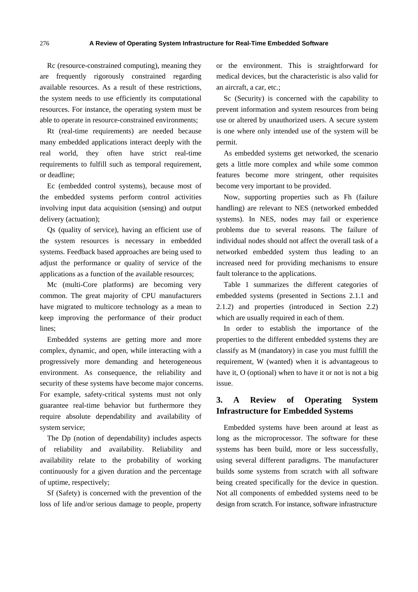Rc (resource-constrained computing), meaning they are frequently rigorously constrained regarding available resources. As a result of these restrictions, the system needs to use efficiently its computational resources. For instance, the operating system must be able to operate in resource-constrained environments;

Rt (real-time requirements) are needed because many embedded applications interact deeply with the real world, they often have strict real-time requirements to fulfill such as temporal requirement, or deadline;

Ec (embedded control systems), because most of the embedded systems perform control activities involving input data acquisition (sensing) and output delivery (actuation);

Qs (quality of service), having an efficient use of the system resources is necessary in embedded systems. Feedback based approaches are being used to adjust the performance or quality of service of the applications as a function of the available resources;

Mc (multi-Core platforms) are becoming very common. The great majority of CPU manufacturers have migrated to multicore technology as a mean to keep improving the performance of their product lines;

Embedded systems are getting more and more complex, dynamic, and open, while interacting with a progressively more demanding and heterogeneous environment. As consequence, the reliability and security of these systems have become major concerns. For example, safety-critical systems must not only guarantee real-time behavior but furthermore they require absolute dependability and availability of system service;

The Dp (notion of dependability) includes aspects of reliability and availability. Reliability and availability relate to the probability of working continuously for a given duration and the percentage of uptime, respectively;

Sf (Safety) is concerned with the prevention of the loss of life and/or serious damage to people, property or the environment. This is straightforward for medical devices, but the characteristic is also valid for an aircraft, a car, etc.;

Sc (Security) is concerned with the capability to prevent information and system resources from being use or altered by unauthorized users. A secure system is one where only intended use of the system will be permit.

As embedded systems get networked, the scenario gets a little more complex and while some common features become more stringent, other requisites become very important to be provided.

Now, supporting properties such as Fh (failure handling) are relevant to NES (networked embedded systems). In NES, nodes may fail or experience problems due to several reasons. The failure of individual nodes should not affect the overall task of a networked embedded system thus leading to an increased need for providing mechanisms to ensure fault tolerance to the applications.

Table 1 summarizes the different categories of embedded systems (presented in Sections 2.1.1 and 2.1.2) and properties (introduced in Section 2.2) which are usually required in each of them.

In order to establish the importance of the properties to the different embedded systems they are classify as M (mandatory) in case you must fulfill the requirement, W (wanted) when it is advantageous to have it, O (optional) when to have it or not is not a big issue.

# **3. A Review of Operating System Infrastructure for Embedded Systems**

Embedded systems have been around at least as long as the microprocessor. The software for these systems has been build, more or less successfully, using several different paradigms. The manufacturer builds some systems from scratch with all software being created specifically for the device in question. Not all components of embedded systems need to be design from scratch. For instance, software infrastructure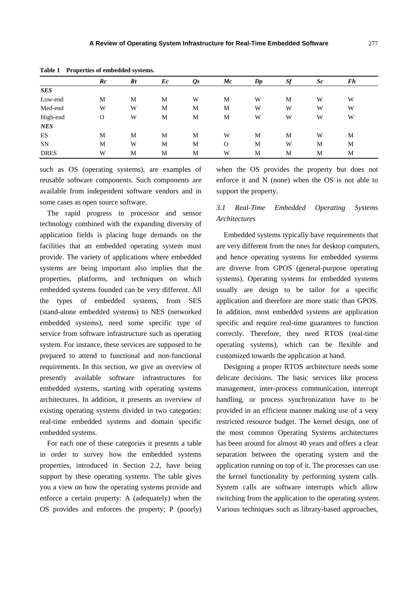| $\sim$ which $\sim$<br>11 operatos or embedded by beenis. |          |    |    |                              |    |               |    |                |    |  |  |
|-----------------------------------------------------------|----------|----|----|------------------------------|----|---------------|----|----------------|----|--|--|
|                                                           | Rc       | Rt | Ec | $\mathbf{\varrho}\mathbf{s}$ | Mc | $\mathbb{D}p$ | Sf | $\mathcal{S}c$ | Fh |  |  |
| <b>SES</b>                                                |          |    |    |                              |    |               |    |                |    |  |  |
| Low-end                                                   | M        | M  | M  | W                            | М  | W             | M  | W              | W  |  |  |
| Med-end                                                   | W        | W  | M  | M                            | M  | W             | W  | W              | W  |  |  |
| High-end                                                  | $\Omega$ | W  | M  | M                            | M  | W             | W  | W              | W  |  |  |
| <b>NES</b>                                                |          |    |    |                              |    |               |    |                |    |  |  |
| ES                                                        | M        | M  | M  | M                            | W  | M             | M  | W              | M  |  |  |
| SN                                                        | M        | W  | M  | M                            | O  | M             | W  | М              | M  |  |  |
| <b>DRES</b>                                               | W        | М  | M  | M                            | W  | M             | M  | M              | M  |  |  |

**Table 1 Properties of embedded systems.** 

such as OS (operating systems), are examples of reusable software components. Such components are available from independent software vendors and in some cases as open source software.

The rapid progress in processor and sensor technology combined with the expanding diversity of application fields is placing huge demands on the facilities that an embedded operating system must provide. The variety of applications where embedded systems are being important also implies that the properties, platforms, and techniques on which embedded systems founded can be very different. All the types of embedded systems, from SES (stand-alone embedded systems) to NES (networked embedded systems), need some specific type of service from software infrastructure such as operating system. For instance, these services are supposed to be prepared to attend to functional and non-functional requirements. In this section, we give an overview of presently available software infrastructures for embedded systems, starting with operating systems architectures. In addition, it presents an overview of existing operating systems divided in two categories: real-time embedded systems and domain specific embedded systems.

For each one of these categories it presents a table in order to survey how the embedded systems properties, introduced in Section 2.2, have being support by these operating systems. The table gives you a view on how the operating systems provide and enforce a certain property: A (adequately) when the OS provides and enforces the property; P (poorly) when the OS provides the property but does not enforce it and N (none) when the OS is not able to support the property.

# *3.1 Real-Time Embedded Operating Systems Architectures*

Embedded systems typically have requirements that are very different from the ones for desktop computers, and hence operating systems for embedded systems are diverse from GPOS (general-purpose operating systems). Operating systems for embedded systems usually are design to be tailor for a specific application and therefore are more static than GPOS. In addition, most embedded systems are application specific and require real-time guarantees to function correctly. Therefore, they need RTOS (real-time operating systems), which can be flexible and customized towards the application at hand.

Designing a proper RTOS architecture needs some delicate decisions. The basic services like process management, inter-process communication, interrupt handling, or process synchronization have to be provided in an efficient manner making use of a very restricted resource budget. The kernel design, one of the most common Operating Systems architectures has been around for almost 40 years and offers a clear separation between the operating system and the application running on top of it. The processes can use the kernel functionality by performing system calls. System calls are software interrupts which allow switching from the application to the operating system. Various techniques such as library-based approaches,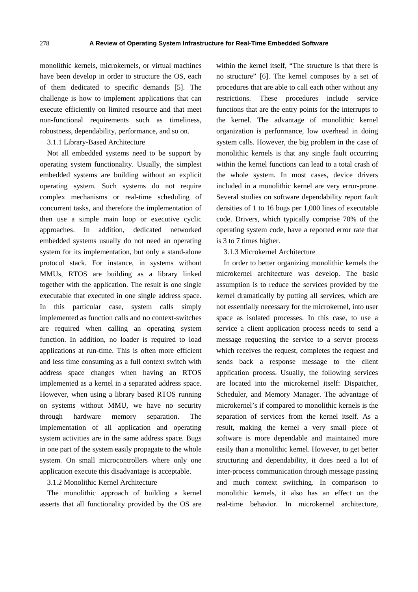monolithic kernels, microkernels, or virtual machines have been develop in order to structure the OS, each of them dedicated to specific demands [5]. The challenge is how to implement applications that can execute efficiently on limited resource and that meet non-functional requirements such as timeliness, robustness, dependability, performance, and so on.

3.1.1 Library-Based Architecture

Not all embedded systems need to be support by operating system functionality. Usually, the simplest embedded systems are building without an explicit operating system. Such systems do not require complex mechanisms or real-time scheduling of concurrent tasks, and therefore the implementation of then use a simple main loop or executive cyclic approaches. In addition, dedicated networked embedded systems usually do not need an operating system for its implementation, but only a stand-alone protocol stack. For instance, in systems without MMUs, RTOS are building as a library linked together with the application. The result is one single executable that executed in one single address space. In this particular case, system calls simply implemented as function calls and no context-switches are required when calling an operating system function. In addition, no loader is required to load applications at run-time. This is often more efficient and less time consuming as a full context switch with address space changes when having an RTOS implemented as a kernel in a separated address space. However, when using a library based RTOS running on systems without MMU, we have no security through hardware memory separation. The implementation of all application and operating system activities are in the same address space. Bugs in one part of the system easily propagate to the whole system. On small microcontrollers where only one application execute this disadvantage is acceptable.

#### 3.1.2 Monolithic Kernel Architecture

The monolithic approach of building a kernel asserts that all functionality provided by the OS are within the kernel itself, "The structure is that there is no structure" [6]. The kernel composes by a set of procedures that are able to call each other without any restrictions. These procedures include service functions that are the entry points for the interrupts to the kernel. The advantage of monolithic kernel organization is performance, low overhead in doing system calls. However, the big problem in the case of monolithic kernels is that any single fault occurring within the kernel functions can lead to a total crash of the whole system. In most cases, device drivers included in a monolithic kernel are very error-prone. Several studies on software dependability report fault densities of 1 to 16 bugs per 1,000 lines of executable code. Drivers, which typically comprise 70% of the operating system code, have a reported error rate that is 3 to 7 times higher.

3.1.3 Microkernel Architecture

In order to better organizing monolithic kernels the microkernel architecture was develop. The basic assumption is to reduce the services provided by the kernel dramatically by putting all services, which are not essentially necessary for the microkernel, into user space as isolated processes. In this case, to use a service a client application process needs to send a message requesting the service to a server process which receives the request, completes the request and sends back a response message to the client application process. Usually, the following services are located into the microkernel itself: Dispatcher, Scheduler, and Memory Manager. The advantage of microkernel's if compared to monolithic kernels is the separation of services from the kernel itself. As a result, making the kernel a very small piece of software is more dependable and maintained more easily than a monolithic kernel. However, to get better structuring and dependability, it does need a lot of inter-process communication through message passing and much context switching. In comparison to monolithic kernels, it also has an effect on the real-time behavior. In microkernel architecture,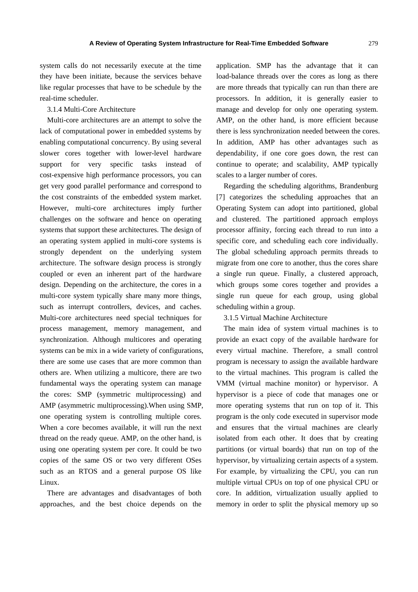system calls do not necessarily execute at the time they have been initiate, because the services behave like regular processes that have to be schedule by the real-time scheduler.

#### 3.1.4 Multi-Core Architecture

Multi-core architectures are an attempt to solve the lack of computational power in embedded systems by enabling computational concurrency. By using several slower cores together with lower-level hardware support for very specific tasks instead of cost-expensive high performance processors, you can get very good parallel performance and correspond to the cost constraints of the embedded system market. However, multi-core architectures imply further challenges on the software and hence on operating systems that support these architectures. The design of an operating system applied in multi-core systems is strongly dependent on the underlying system architecture. The software design process is strongly coupled or even an inherent part of the hardware design. Depending on the architecture, the cores in a multi-core system typically share many more things, such as interrupt controllers, devices, and caches. Multi-core architectures need special techniques for process management, memory management, and synchronization. Although multicores and operating systems can be mix in a wide variety of configurations, there are some use cases that are more common than others are. When utilizing a multicore, there are two fundamental ways the operating system can manage the cores: SMP (symmetric multiprocessing) and AMP (asymmetric multiprocessing).When using SMP, one operating system is controlling multiple cores. When a core becomes available, it will run the next thread on the ready queue. AMP, on the other hand, is using one operating system per core. It could be two copies of the same OS or two very different OSes such as an RTOS and a general purpose OS like Linux.

There are advantages and disadvantages of both approaches, and the best choice depends on the application. SMP has the advantage that it can load-balance threads over the cores as long as there are more threads that typically can run than there are processors. In addition, it is generally easier to manage and develop for only one operating system. AMP, on the other hand, is more efficient because there is less synchronization needed between the cores. In addition, AMP has other advantages such as dependability, if one core goes down, the rest can continue to operate; and scalability, AMP typically scales to a larger number of cores.

Regarding the scheduling algorithms, Brandenburg [7] categorizes the scheduling approaches that an Operating System can adopt into partitioned, global and clustered. The partitioned approach employs processor affinity, forcing each thread to run into a specific core, and scheduling each core individually. The global scheduling approach permits threads to migrate from one core to another, thus the cores share a single run queue. Finally, a clustered approach, which groups some cores together and provides a single run queue for each group, using global scheduling within a group.

#### 3.1.5 Virtual Machine Architecture

The main idea of system virtual machines is to provide an exact copy of the available hardware for every virtual machine. Therefore, a small control program is necessary to assign the available hardware to the virtual machines. This program is called the VMM (virtual machine monitor) or hypervisor. A hypervisor is a piece of code that manages one or more operating systems that run on top of it. This program is the only code executed in supervisor mode and ensures that the virtual machines are clearly isolated from each other. It does that by creating partitions (or virtual boards) that run on top of the hypervisor, by virtualizing certain aspects of a system. For example, by virtualizing the CPU, you can run multiple virtual CPUs on top of one physical CPU or core. In addition, virtualization usually applied to memory in order to split the physical memory up so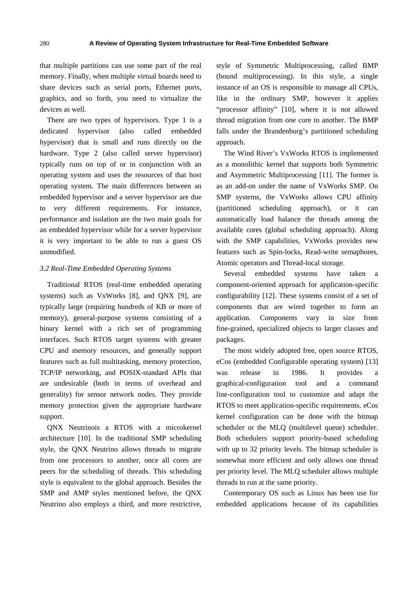that multiple partitions can use some part of the real memory. Finally, when multiple virtual boards need to share devices such as serial ports, Ethernet ports, graphics, and so forth, you need to virtualize the devices as well.

There are two types of hypervisors. Type 1 is a dedicated hypervisor (also called embedded hypervisor) that is small and runs directly on the hardware. Type 2 (also called server hypervisor) typically runs on top of or in conjunction with an operating system and uses the resources of that host operating system. The main differences between an embedded hypervisor and a server hypervisor are due to very different requirements. For instance, performance and isolation are the two main goals for an embedded hypervisor while for a server hypervisor it is very important to be able to run a guest OS unmodified.

#### *3.2 Real-Time Embedded Operating Systems*

Traditional RTOS (real-time embedded operating systems) such as VxWorks [8], and QNX [9], are typically large (requiring hundreds of KB or more of memory), general-purpose systems consisting of a binary kernel with a rich set of programming interfaces. Such RTOS target systems with greater CPU and memory resources, and generally support features such as full multitasking, memory protection, TCP/IP networking, and POSIX-standard APIs that are undesirable (both in terms of overhead and generality) for sensor network nodes. They provide memory protection given the appropriate hardware support.

QNX Neutrinois a RTOS with a microkernel architecture [10]. In the traditional SMP scheduling style, the QNX Neutrino allows threads to migrate from one processors to another, once all cores are peers for the scheduling of threads. This scheduling style is equivalent to the global approach. Besides the SMP and AMP styles mentioned before, the QNX Neutrino also employs a third, and more restrictive, style of Symmetric Multiprocessing, called BMP (bound multiprocessing). In this style, a single instance of an OS is responsible to manage all CPUs, like in the ordinary SMP, however it applies "processor affinity" [10], where it is not allowed thread migration from one core to another. The BMP falls under the Brandenburg's partitioned scheduling approach.

The Wind River's VxWorks RTOS is implemented as a monolithic kernel that supports both Symmetric and Asymmetric Multiprocessing [11]. The former is as an add-on under the name of VxWorks SMP. On SMP systems, the VxWorks allows CPU affinity (partitioned scheduling approach), or it can automatically load balance the threads among the available cores (global scheduling approach). Along with the SMP capabilities, VxWorks provides new features such as Spin-locks, Read-write semaphores, Atomic operators and Thread-local storage.

Several embedded systems have taken a component-oriented approach for application-specific configurability [12]. These systems consist of a set of components that are wired together to form an application. Components vary in size from fine-grained, specialized objects to larger classes and packages.

The most widely adopted free, open source RTOS, eCos (embedded Configurable operating system) [13] was release in 1986. It provides a graphical-configuration tool and a command line-configuration tool to customize and adapt the RTOS to meet application-specific requirements. eCos kernel configuration can be done with the bitmap scheduler or the MLQ (multilevel queue) scheduler. Both schedulers support priority-based scheduling with up to 32 priority levels. The bitmap scheduler is somewhat more efficient and only allows one thread per priority level. The MLQ scheduler allows multiple threads to run at the same priority.

Contemporary OS such as Linux has been use for embedded applications because of its capabilities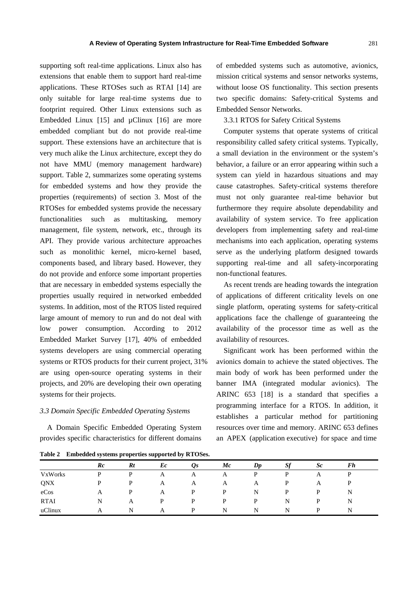supporting soft real-time applications. Linux also has extensions that enable them to support hard real-time applications. These RTOSes such as RTAI [14] are only suitable for large real-time systems due to footprint required. Other Linux extensions such as Embedded Linux [15] and  $\mu$ Clinux [16] are more embedded compliant but do not provide real-time support. These extensions have an architecture that is very much alike the Linux architecture, except they do not have MMU (memory management hardware) support. Table 2, summarizes some operating systems for embedded systems and how they provide the properties (requirements) of section 3. Most of the RTOSes for embedded systems provide the necessary functionalities such as multitasking, memory management, file system, network, etc., through its API. They provide various architecture approaches such as monolithic kernel, micro-kernel based, components based, and library based. However, they do not provide and enforce some important properties that are necessary in embedded systems especially the properties usually required in networked embedded systems. In addition, most of the RTOS listed required large amount of memory to run and do not deal with low power consumption. According to 2012 Embedded Market Survey [17], 40% of embedded systems developers are using commercial operating systems or RTOS products for their current project, 31% are using open-source operating systems in their projects, and 20% are developing their own operating systems for their projects.

#### *3.3 Domain Specific Embedded Operating Systems*

A Domain Specific Embedded Operating System provides specific characteristics for different domains

of embedded systems such as automotive, avionics, mission critical systems and sensor networks systems, without loose OS functionality. This section presents two specific domains: Safety-critical Systems and Embedded Sensor Networks.

3.3.1 RTOS for Safety Critical Systems

Computer systems that operate systems of critical responsibility called safety critical systems. Typically, a small deviation in the environment or the system's behavior, a failure or an error appearing within such a system can yield in hazardous situations and may cause catastrophes. Safety-critical systems therefore must not only guarantee real-time behavior but furthermore they require absolute dependability and availability of system service. To free application developers from implementing safety and real-time mechanisms into each application, operating systems serve as the underlying platform designed towards supporting real-time and all safety-incorporating non-functional features.

As recent trends are heading towards the integration of applications of different criticality levels on one single platform, operating systems for safety-critical applications face the challenge of guaranteeing the availability of the processor time as well as the availability of resources.

Significant work has been performed within the avionics domain to achieve the stated objectives. The main body of work has been performed under the banner IMA (integrated modular avionics). The ARINC 653 [18] is a standard that specifies a programming interface for a RTOS. In addition, it establishes a particular method for partitioning resources over time and memory. ARINC 653 defines an APEX (application executive) for space and time

**Table 2 Embedded systems properties supported by RTOSes.** 

|                | $_{Rc}$ | Rt | Ec | $\mathbf{\Omega}$ s | $\bm{M}$ c | Dp | Sf | Sc | Fh |  |
|----------------|---------|----|----|---------------------|------------|----|----|----|----|--|
| <b>VxWorks</b> | D       | P  | A  | A                   | A          | P  | D  | А  |    |  |
| QNX            | D       | P  | A  | A                   | A          | A  | P  | A  |    |  |
| eCos           | А       | P  | A  | P                   | D          | N  | P  | P  | N  |  |
| <b>RTAI</b>    | N       | A  | P  | D                   | D          | D  | N  | D  | N  |  |
| uClinux        | А       | N  | Α  | D                   | N          | N  | N  | D  | N  |  |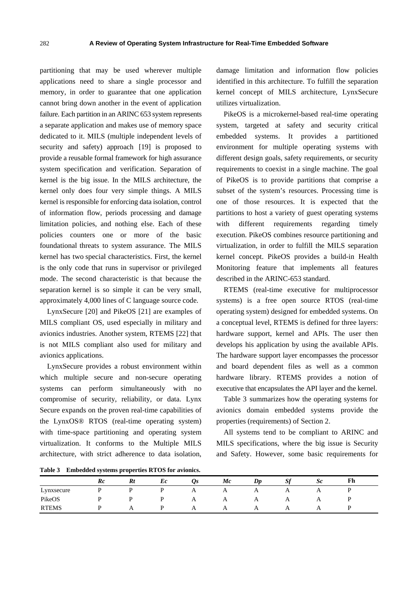partitioning that may be used wherever multiple applications need to share a single processor and memory, in order to guarantee that one application cannot bring down another in the event of application failure. Each partition in an ARINC 653 system represents a separate application and makes use of memory space dedicated to it. MILS (multiple independent levels of security and safety) approach [19] is proposed to provide a reusable formal framework for high assurance system specification and verification. Separation of kernel is the big issue. In the MILS architecture, the kernel only does four very simple things. A MILS kernel is responsible for enforcing data isolation, control of information flow, periods processing and damage limitation policies, and nothing else. Each of these policies counters one or more of the basic foundational threats to system assurance. The MILS kernel has two special characteristics. First, the kernel is the only code that runs in supervisor or privileged mode. The second characteristic is that because the separation kernel is so simple it can be very small, approximately 4,000 lines of C language source code.

LynxSecure [20] and PikeOS [21] are examples of MILS compliant OS, used especially in military and avionics industries. Another system, RTEMS [22] that is not MILS compliant also used for military and avionics applications.

LynxSecure provides a robust environment within which multiple secure and non-secure operating systems can perform simultaneously with no compromise of security, reliability, or data. Lynx Secure expands on the proven real-time capabilities of the LynxOS® RTOS (real-time operating system) with time-space partitioning and operating system virtualization. It conforms to the Multiple MILS architecture, with strict adherence to data isolation,

damage limitation and information flow policies identified in this architecture. To fulfill the separation kernel concept of MILS architecture, LynxSecure utilizes virtualization.

PikeOS is a microkernel-based real-time operating system, targeted at safety and security critical embedded systems. It provides a partitioned environment for multiple operating systems with different design goals, safety requirements, or security requirements to coexist in a single machine. The goal of PikeOS is to provide partitions that comprise a subset of the system's resources. Processing time is one of those resources. It is expected that the partitions to host a variety of guest operating systems with different requirements regarding timely execution. PikeOS combines resource partitioning and virtualization, in order to fulfill the MILS separation kernel concept. PikeOS provides a build-in Health Monitoring feature that implements all features described in the ARINC-653 standard.

RTEMS (real-time executive for multiprocessor systems) is a free open source RTOS (real-time operating system) designed for embedded systems. On a conceptual level, RTEMS is defined for three layers: hardware support, kernel and APIs. The user then develops his application by using the available APIs. The hardware support layer encompasses the processor and board dependent files as well as a common hardware library. RTEMS provides a notion of executive that encapsulates the API layer and the kernel.

Table 3 summarizes how the operating systems for avionics domain embedded systems provide the properties (requirements) of Section 2.

All systems tend to be compliant to ARINC and MILS specifications, where the big issue is Security and Safety. However, some basic requirements for

**Table 3 Embedded systems properties RTOS for avionics.** 

|              | __<br>__ |                |    |                |              |                                |                |                |    |  |  |
|--------------|----------|----------------|----|----------------|--------------|--------------------------------|----------------|----------------|----|--|--|
|              | $_{Rc}$  | Rt             | Ec | $\mathbf{v}$ s | Mc           | $\boldsymbol{D}\boldsymbol{p}$ | ച              | $\mathcal{S}c$ | Fh |  |  |
| Lynxsecure   |          |                |    | A              | $\mathbf{A}$ | $\mathbf{A}$                   | $\overline{1}$ | $\mathbf{A}$   |    |  |  |
| PikeOS       |          |                |    | A              | A            | A                              | A              | $\Delta$       |    |  |  |
| <b>RTEMS</b> |          | $\overline{1}$ |    | A              |              | $\overline{1}$                 | $\mathbf{A}$   | A              |    |  |  |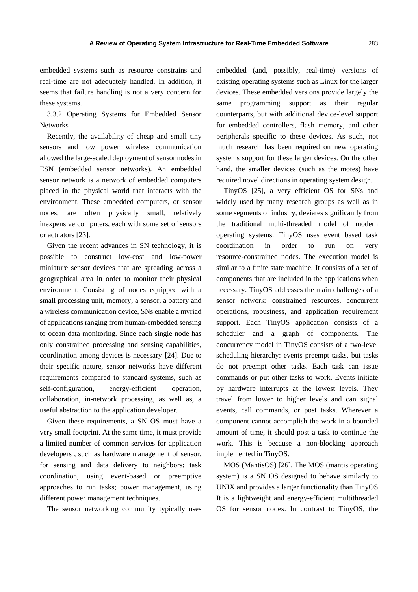embedded systems such as resource constrains and real-time are not adequately handled. In addition, it seems that failure handling is not a very concern for these systems.

3.3.2 Operating Systems for Embedded Sensor **Networks** 

Recently, the availability of cheap and small tiny sensors and low power wireless communication allowed the large-scaled deployment of sensor nodes in ESN (embedded sensor networks). An embedded sensor network is a network of embedded computers placed in the physical world that interacts with the environment. These embedded computers, or sensor nodes, are often physically small, relatively inexpensive computers, each with some set of sensors or actuators [23].

Given the recent advances in SN technology, it is possible to construct low-cost and low-power miniature sensor devices that are spreading across a geographical area in order to monitor their physical environment. Consisting of nodes equipped with a small processing unit, memory, a sensor, a battery and a wireless communication device, SNs enable a myriad of applications ranging from human-embedded sensing to ocean data monitoring. Since each single node has only constrained processing and sensing capabilities, coordination among devices is necessary [24]. Due to their specific nature, sensor networks have different requirements compared to standard systems, such as self-configuration, energy-efficient operation, collaboration, in-network processing, as well as, a useful abstraction to the application developer.

Given these requirements, a SN OS must have a very small footprint. At the same time, it must provide a limited number of common services for application developers , such as hardware management of sensor, for sensing and data delivery to neighbors; task coordination, using event-based or preemptive approaches to run tasks; power management, using different power management techniques.

The sensor networking community typically uses

embedded (and, possibly, real-time) versions of existing operating systems such as Linux for the larger devices. These embedded versions provide largely the same programming support as their regular counterparts, but with additional device-level support for embedded controllers, flash memory, and other peripherals specific to these devices. As such, not much research has been required on new operating systems support for these larger devices. On the other hand, the smaller devices (such as the motes) have required novel directions in operating system design.

TinyOS [25], a very efficient OS for SNs and widely used by many research groups as well as in some segments of industry, deviates significantly from the traditional multi-threaded model of modern operating systems. TinyOS uses event based task coordination in order to run on very resource-constrained nodes. The execution model is similar to a finite state machine. It consists of a set of components that are included in the applications when necessary. TinyOS addresses the main challenges of a sensor network: constrained resources, concurrent operations, robustness, and application requirement support. Each TinyOS application consists of a scheduler and a graph of components. The concurrency model in TinyOS consists of a two-level scheduling hierarchy: events preempt tasks, but tasks do not preempt other tasks. Each task can issue commands or put other tasks to work. Events initiate by hardware interrupts at the lowest levels. They travel from lower to higher levels and can signal events, call commands, or post tasks. Wherever a component cannot accomplish the work in a bounded amount of time, it should post a task to continue the work. This is because a non-blocking approach implemented in TinyOS.

MOS (MantisOS) [26]. The MOS (mantis operating system) is a SN OS designed to behave similarly to UNIX and provides a larger functionality than TinyOS. It is a lightweight and energy-efficient multithreaded OS for sensor nodes. In contrast to TinyOS, the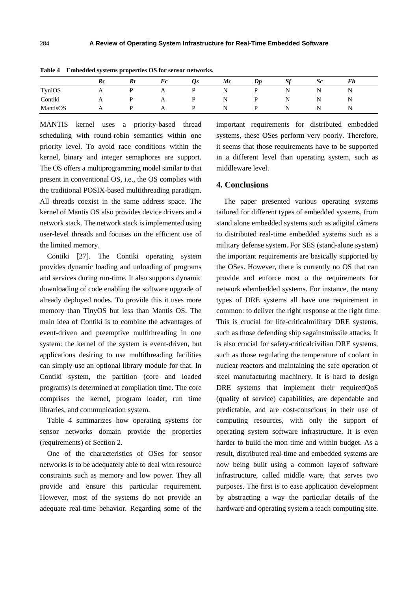|          | $_{Rc}$      | Rt | Ec | $\mathbf{v}$ s | Mc | $\mathbf{D}\mathbf{p}$ | ЭI                 | $\mathcal{S}c$ | r n |  |
|----------|--------------|----|----|----------------|----|------------------------|--------------------|----------------|-----|--|
| TyniOS   | A            |    | A  |                | N  |                        | N                  | N<br>. .       | N   |  |
| Contiki  | $\mathbf{A}$ |    | A  |                | N  |                        | $\sim$ $\sim$<br>N | N<br>. .       | N   |  |
| MantisOS | A            |    |    |                | N  |                        | N                  | N<br>. .       | N   |  |

**Table 4 Embedded systems properties OS for sensor networks.** 

MANTIS kernel uses a priority-based thread scheduling with round-robin semantics within one priority level. To avoid race conditions within the kernel, binary and integer semaphores are support. The OS offers a multiprogramming model similar to that present in conventional OS, i.e., the OS complies with the traditional POSIX-based multithreading paradigm. All threads coexist in the same address space. The kernel of Mantis OS also provides device drivers and a network stack. The network stack is implemented using user-level threads and focuses on the efficient use of the limited memory.

Contiki [27]. The Contiki operating system provides dynamic loading and unloading of programs and services during run-time. It also supports dynamic downloading of code enabling the software upgrade of already deployed nodes. To provide this it uses more memory than TinyOS but less than Mantis OS. The main idea of Contiki is to combine the advantages of event-driven and preemptive multithreading in one system: the kernel of the system is event-driven, but applications desiring to use multithreading facilities can simply use an optional library module for that. In Contiki system, the partition (core and loaded programs) is determined at compilation time. The core comprises the kernel, program loader, run time libraries, and communication system.

Table 4 summarizes how operating systems for sensor networks domain provide the properties (requirements) of Section 2.

One of the characteristics of OSes for sensor networks is to be adequately able to deal with resource constraints such as memory and low power. They all provide and ensure this particular requirement. However, most of the systems do not provide an adequate real-time behavior. Regarding some of the

important requirements for distributed embedded systems, these OSes perform very poorly. Therefore, it seems that those requirements have to be supported in a different level than operating system, such as middleware level.

## **4. Conclusions**

The paper presented various operating systems tailored for different types of embedded systems, from stand alone embedded systems such as adigital câmera to distributed real-time embedded systems such as a military defense system. For SES (stand-alone system) the important requirements are basically supported by the OSes. However, there is currently no OS that can provide and enforce most o the requirements for network edembedded systems. For instance, the many types of DRE systems all have one requirement in common: to deliver the right response at the right time. This is crucial for life-criticalmilitary DRE systems, such as those defending ship sagainstmissile attacks. It is also crucial for safety-criticalcivilian DRE systems, such as those regulating the temperature of coolant in nuclear reactors and maintaining the safe operation of steel manufacturing machinery. It is hard to design DRE systems that implement their requiredQoS (quality of service) capabilities, are dependable and predictable, and are cost-conscious in their use of computing resources, with only the support of operating system software infrastructure. It is even harder to build the mon time and within budget. As a result, distributed real-time and embedded systems are now being built using a common layerof software infrastructure, called middle ware, that serves two purposes. The first is to ease application development by abstracting a way the particular details of the hardware and operating system a teach computing site.